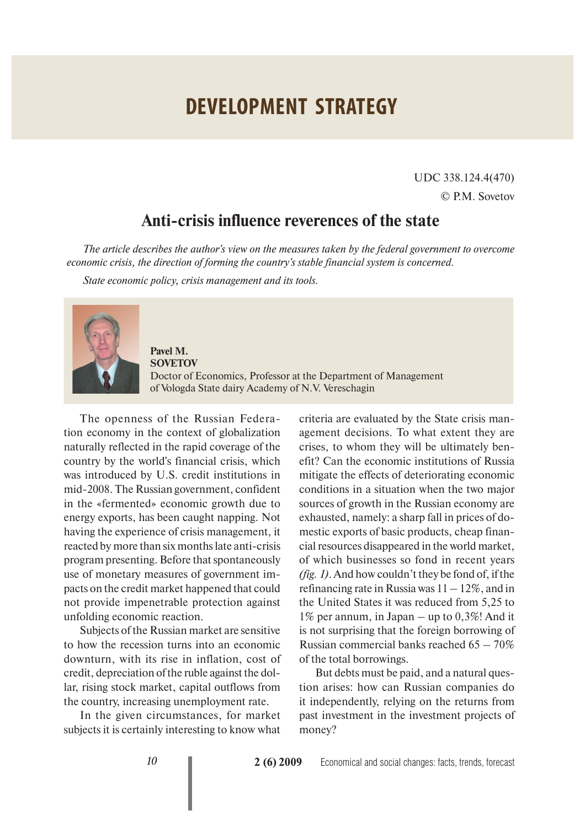## **DEVELOPMENT STRATEGY**

UDC 338.124.4(470) © P.M. Sovetov

## **Anti-crisis influence reverences of the state**

*The article describes the author's view on the measures taken by the federal government to overcome economic crisis, the direction of forming the country's stable financial system is concerned.* 

*State economic policy, crisis management and its tools.* 



**Pavel M. SOVETOV** Doctor of Economics, Professor at the Department of Management of Vologda State dairy Academy of N.V. Vereschagin

The openness of the Russian Federation economy in the context of globalization naturally reflected in the rapid coverage of the country by the world's financial crisis, which was introduced by U.S. credit institutions in mid-2008. The Russian government, confident in the «fermented» economic growth due to energy exports, has been caught napping. Not having the experience of crisis management, it reacted by more than six months late anti-crisis program presenting. Before that spontaneously use of monetary measures of government impacts on the credit market happened that could not provide impenetrable protection against unfolding economic reaction.

Subjects of the Russian market are sensitive to how the recession turns into an economic downturn, with its rise in inflation, cost of credit, depreciation of the ruble against the dollar, rising stock market, capital outflows from the country, increasing unemployment rate.

In the given circumstances, for market subjects it is certainly interesting to know what

criteria are evaluated by the State crisis management decisions. To what extent they are crises, to whom they will be ultimately benefit? Can the economic institutions of Russia mitigate the effects of deteriorating economic conditions in a situation when the two major sources of growth in the Russian economy are exhausted, namely: a sharp fall in prices of domestic exports of basic products, cheap financial resources disappeared in the world market, of which businesses so fond in recent years *(fig. 1)*. And how couldn't they be fond of, if the refinancing rate in Russia was  $11 - 12\%$ , and in the United States it was reduced from 5,25 to 1% per annum, in Japan – up to 0,3%! And it is not surprising that the foreign borrowing of Russian commercial banks reached  $65 - 70\%$ of the total borrowings.

But debts must be paid, and a natural question arises: how can Russian companies do it independently, relying on the returns from past investment in the investment projects of money?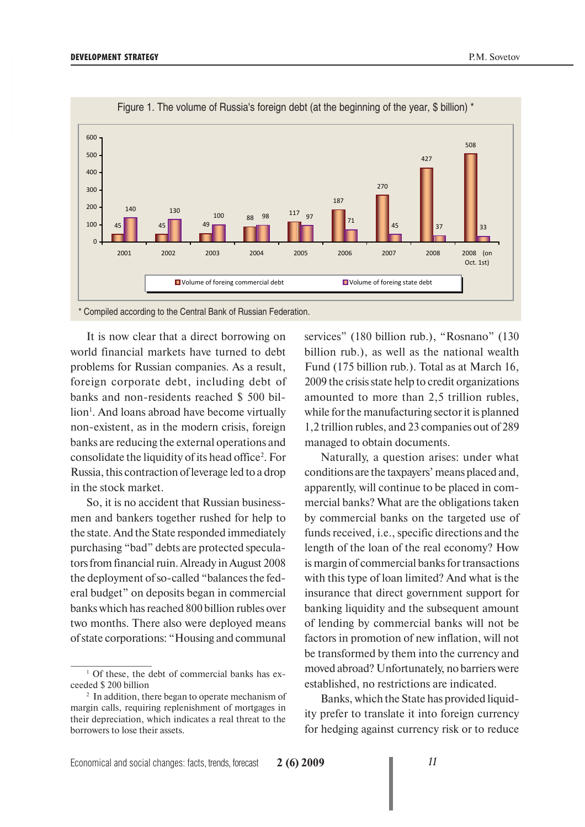

Figure 1. The volume of Russia's foreign debt (at the beginning of the year, \$ billion) \*

\* Compiled according to the Central Bank of Russian Federation.

It is now clear that a direct borrowing on world financial markets have turned to debt problems for Russian companies. As a result, foreign corporate debt, including debt of banks and non-residents reached \$ 500 billion<sup>1</sup>. And loans abroad have become virtually non-existent, as in the modern crisis, foreign banks are reducing the external operations and consolidate the liquidity of its head office<sup>2</sup>. For Russia, this contraction of leverage led to a drop in the stock market.

So, it is no accident that Russian businessmen and bankers together rushed for help to the state. And the State responded immediately purchasing "bad" debts are protected speculators from financial ruin. Already in August 2008 the deployment of so-called "balances the federal budget" on deposits began in commercial banks which has reached 800 billion rubles over two months. There also were deployed means of state corporations: "Housing and communal

services" (180 billion rub.), "Rosnano" (130 billion rub.), as well as the national wealth Fund (175 billion rub.). Total as at March 16, 2009 the crisis state help to credit organizations amounted to more than 2,5 trillion rubles, while for the manufacturing sector it is planned 1,2 trillion rubles, and 23 companies out of 289 managed to obtain documents.

Naturally, a question arises: under what conditions are the taxpayers' means placed and, apparently, will continue to be placed in commercial banks? What are the obligations taken by commercial banks on the targeted use of funds received, i.e., specific directions and the length of the loan of the real economy? How is margin of commercial banks for transactions with this type of loan limited? And what is the insurance that direct government support for banking liquidity and the subsequent amount of lending by commercial banks will not be factors in promotion of new inflation, will not be transformed by them into the currency and moved abroad? Unfortunately, no barriers were established, no restrictions are indicated.

Banks, which the State has provided liquidity prefer to translate it into foreign currency for hedging against currency risk or to reduce

<sup>&</sup>lt;sup>1</sup> Of these, the debt of commercial banks has exceeded \$200 billion

<sup>&</sup>lt;sup>2</sup> In addition, there began to operate mechanism of margin calls, requiring replenishment of mortgages in their depreciation, which indicates a real threat to the borrowers to lose their assets.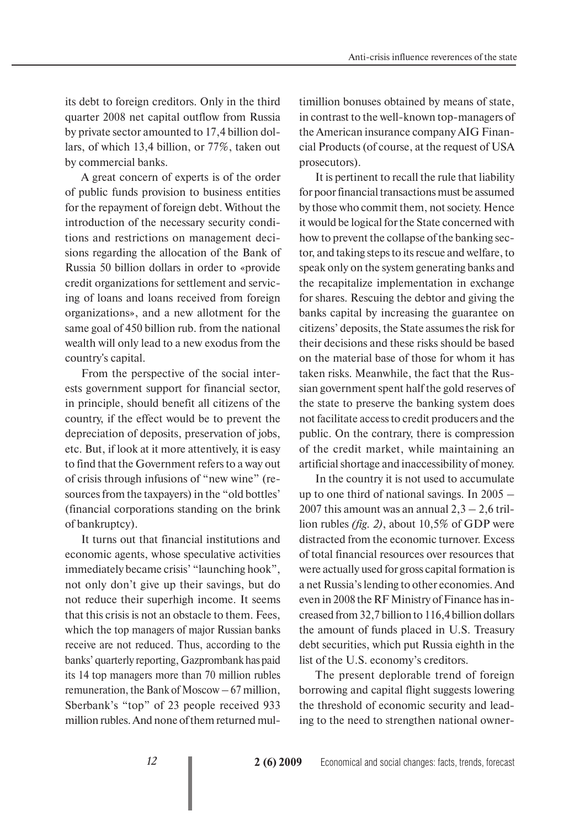its debt to foreign creditors. Only in the third quarter 2008 net capital outflow from Russia by private sector amounted to 17,4 billion dollars, of which 13,4 billion, or 77%, taken out by commercial banks.

A great concern of experts is of the order of public funds provision to business entities for the repayment of foreign debt. Without the introduction of the necessary security conditions and restrictions on management decisions regarding the allocation of the Bank of Russia 50 billion dollars in order to «provide credit organizations for settlement and servicing of loans and loans received from foreign organizations», and a new allotment for the same goal of 450 billion rub. from the national wealth will only lead to a new exodus from the country's capital.

From the perspective of the social interests government support for financial sector, in principle, should benefit all citizens of the country, if the effect would be to prevent the depreciation of deposits, preservation of jobs, etc. But, if look at it more attentively, it is easy to find that the Government refers to a way out of crisis through infusions of "new wine" (resources from the taxpayers) in the "old bottles' (financial corporations standing on the brink of bankruptcy).

It turns out that financial institutions and economic agents, whose speculative activities immediately became crisis' "launching hook", not only don't give up their savings, but do not reduce their superhigh income. It seems that this crisis is not an obstacle to them. Fees, which the top managers of major Russian banks receive are not reduced. Thus, according to the banks' quarterly reporting, Gazprombank has paid its 14 top managers more than 70 million rubles remuneration, the Bank of Moscow – 67 million, Sberbank's "top" of 23 people received 933 million rubles. And none of them returned multimillion bonuses obtained by means of state, in contrast to the well-known top-managers of the American insurance company AIG Financial Products (of course, at the request of USA prosecutors).

It is pertinent to recall the rule that liability for poor financial transactions must be assumed by those who commit them, not society. Hence it would be logical for the State concerned with how to prevent the collapse of the banking sector, and taking steps to its rescue and welfare, to speak only on the system generating banks and the recapitalize implementation in exchange for shares. Rescuing the debtor and giving the banks capital by increasing the guarantee on citizens' deposits, the State assumes the risk for their decisions and these risks should be based on the material base of those for whom it has taken risks. Meanwhile, the fact that the Russian government spent half the gold reserves of the state to preserve the banking system does not facilitate access to credit producers and the public. On the contrary, there is compression of the credit market, while maintaining an artificial shortage and inaccessibility of money.

In the country it is not used to accumulate up to one third of national savings. In 2005 – 2007 this amount was an annual  $2,3 - 2,6$  trillion rubles *(fig. 2)*, about 10,5% of GDP were distracted from the economic turnover. Excess of total financial resources over resources that were actually used for gross capital formation is a net Russia's lending to other economies. And even in 2008 the RF Ministry of Finance has increased from 32,7 billion to 116,4 billion dollars the amount of funds placed in U.S. Treasury debt securities, which put Russia eighth in the list of the U.S. economy's creditors.

The present deplorable trend of foreign borrowing and capital flight suggests lowering the threshold of economic security and leading to the need to strengthen national owner-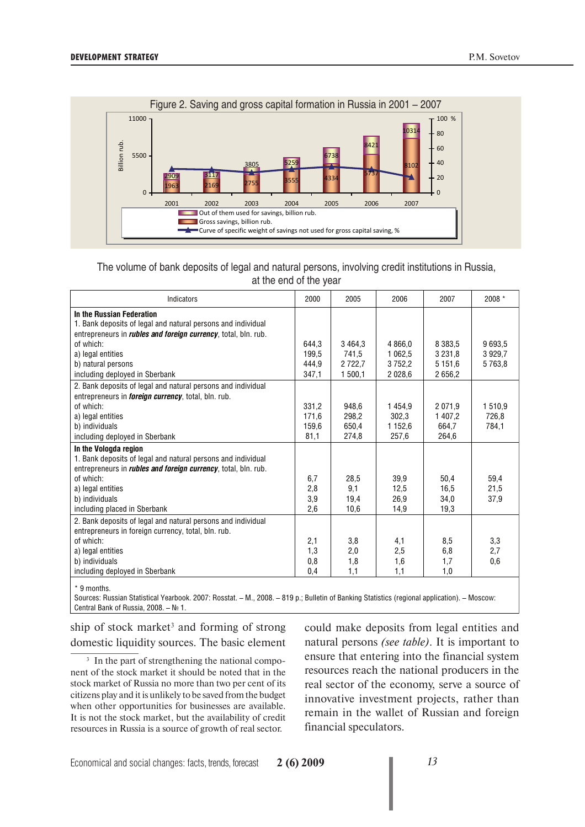

## The volume of bank deposits of legal and natural persons, involving credit institutions in Russia, at the end of the year

| Indicators                                                             | 2000  | 2005    | 2006        | 2007        | 2008 * |
|------------------------------------------------------------------------|-------|---------|-------------|-------------|--------|
| In the Russian Federation                                              |       |         |             |             |        |
| 1. Bank deposits of legal and natural persons and individual           |       |         |             |             |        |
| entrepreneurs in <i>rubles and foreign currency</i> , total, bln. rub. |       |         |             |             |        |
| of which:                                                              | 644,3 | 3464,3  | 4 8 6 6.0   | 8 3 8 3 .5  | 9693.5 |
| a) legal entities                                                      | 199.5 | 741,5   | 1 0 6 2.5   | 3 2 3 1 . 8 | 3929.7 |
| b) natural persons                                                     | 444.9 | 2722.7  | 3752.2      | 5 1 5 1 .6  | 5763.8 |
| including deployed in Sberbank                                         | 347,1 | 1 500,1 | 2 0 28,6    | 2656,2      |        |
| 2. Bank deposits of legal and natural persons and individual           |       |         |             |             |        |
| entrepreneurs in <i>foreign currency</i> , total, bln. rub.            |       |         |             |             |        |
| of which:                                                              | 331,2 | 948.6   | 1454.9      | 2 0 7 1 9   | 1510,9 |
| a) legal entities                                                      | 171,6 | 298.2   | 302,3       | 1 407.2     | 726,8  |
| b) individuals                                                         | 159,6 | 650,4   | 1 1 5 2 , 6 | 664,7       | 784,1  |
| including deployed in Sberbank                                         | 81,1  | 274,8   | 257,6       | 264,6       |        |
| In the Vologda region                                                  |       |         |             |             |        |
| 1. Bank deposits of legal and natural persons and individual           |       |         |             |             |        |
| entrepreneurs in <i>rubles and foreign currency</i> , total, bln. rub. |       |         |             |             |        |
| of which:                                                              | 6,7   | 28,5    | 39,9        | 50.4        | 59,4   |
| a) legal entities                                                      | 2,8   | 9,1     | 12.5        | 16,5        | 21,5   |
| b) individuals                                                         | 3,9   | 19,4    | 26,9        | 34,0        | 37.9   |
| including placed in Sberbank                                           | 2,6   | 10,6    | 14,9        | 19,3        |        |
| 2. Bank deposits of legal and natural persons and individual           |       |         |             |             |        |
| entrepreneurs in foreign currency, total, bln. rub.                    |       |         |             |             |        |
| of which:                                                              | 2,1   | 3,8     | 4,1         | 8,5         | 3,3    |
| a) legal entities                                                      | 1,3   | 2,0     | 2,5         | 6,8         | 2,7    |
| b) individuals                                                         | 0,8   | 1,8     | 1,6         | 1,7         | 0,6    |
| including deployed in Sberbank                                         | 0,4   | 1,1     | 1,1         | 1,0         |        |
| * 9 months.                                                            |       |         |             |             |        |

Sources: Russian Statistical Yearbook. 2007: Rosstat. – M., 2008. – 819 p.; Bulletin of Banking Statistics (regional application). – Moscow: Central Bank of Russia, 2008. – № 1.

ship of stock market<sup>3</sup> and forming of strong domestic liquidity sources. The basic element

<sup>3</sup> In the part of strengthening the national component of the stock market it should be noted that in the stock market of Russia no more than two per cent of its citizens play and it is unlikely to be saved from the budget when other opportunities for businesses are available. It is not the stock market, but the availability of credit resources in Russia is a source of growth of real sector.

could make deposits from legal entities and natural persons *(see table)*. It is important to ensure that entering into the financial system resources reach the national producers in the real sector of the economy, serve a source of innovative investment projects, rather than remain in the wallet of Russian and foreign financial speculators.